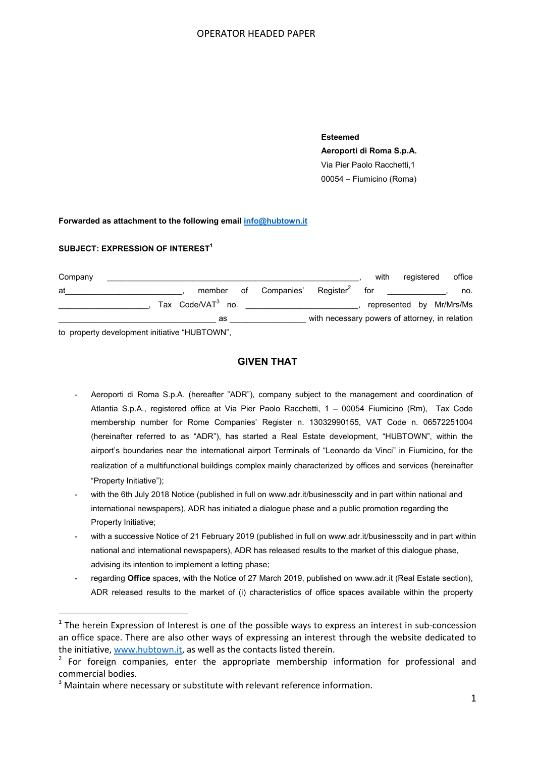## OPERATOR HEADED PAPER

**Esteemed Aeroporti di Roma S.p.A.**  Via Pier Paolo Racchetti,1 00054 – Fiumicino (Roma)

### **Forwarded as attachment to the following email info@hubtown.it**

### **SUBJECT: EXPRESSION OF INTEREST1**

| Company                                                                                                                                                                                                                                                                                                                            |                   |        |  |               |                                                | with                     | registered | office |
|------------------------------------------------------------------------------------------------------------------------------------------------------------------------------------------------------------------------------------------------------------------------------------------------------------------------------------|-------------------|--------|--|---------------|------------------------------------------------|--------------------------|------------|--------|
| at                                                                                                                                                                                                                                                                                                                                 |                   | member |  | of Companies' | $Register^2$                                   | for                      |            | no.    |
|                                                                                                                                                                                                                                                                                                                                    | Tax Code/VAT3 no. |        |  |               |                                                | represented by Mr/Mrs/Ms |            |        |
|                                                                                                                                                                                                                                                                                                                                    | as                |        |  |               | with necessary powers of attorney, in relation |                          |            |        |
| $\mathbf{A}$ $\mathbf{A}$ $\mathbf{B}$ $\mathbf{C}$ $\mathbf{A}$ $\mathbf{A}$ $\mathbf{A}$ $\mathbf{A}$ $\mathbf{A}$ $\mathbf{A}$ $\mathbf{A}$ $\mathbf{A}$ $\mathbf{A}$ $\mathbf{A}$ $\mathbf{A}$ $\mathbf{A}$ $\mathbf{A}$ $\mathbf{A}$ $\mathbf{A}$ $\mathbf{A}$ $\mathbf{A}$ $\mathbf{A}$ $\mathbf{A}$ $\mathbf{A}$ $\mathbf{$ |                   |        |  |               |                                                |                          |            |        |

to property development initiative "HUBTOWN",

# **GIVEN THAT**

- Aeroporti di Roma S.p.A. (hereafter "ADR"), company subject to the management and coordination of Atlantia S.p.A., registered office at Via Pier Paolo Racchetti, 1 – 00054 Fiumicino (Rm), Tax Code membership number for Rome Companies' Register n. 13032990155, VAT Code n. 06572251004 (hereinafter referred to as "ADR"), has started a Real Estate development, "HUBTOWN", within the airport's boundaries near the international airport Terminals of "Leonardo da Vinci" in Fiumicino, for the realization of a multifunctional buildings complex mainly characterized by offices and services (hereinafter "Property Initiative");
- with the 6th July 2018 Notice (published in full on www.adr.it/businesscity and in part within national and international newspapers), ADR has initiated a dialogue phase and a public promotion regarding the Property Initiative;
- with a successive Notice of 21 February 2019 (published in full on www.adr.it/businesscity and in part within national and international newspapers), ADR has released results to the market of this dialogue phase, advising its intention to implement a letting phase;
- regarding **Office** spaces, with the Notice of 27 March 2019, published on www.adr.it (Real Estate section), ADR released results to the market of (i) characteristics of office spaces available within the property

 $1$  The herein Expression of Interest is one of the possible ways to express an interest in sub-concession an office space. There are also other ways of expressing an interest through the website dedicated to the initiative, www.hubtown.it, as well as the contacts listed therein.

 $2$  For foreign companies, enter the appropriate membership information for professional and commercial bodies.

 $3$  Maintain where necessary or substitute with relevant reference information.